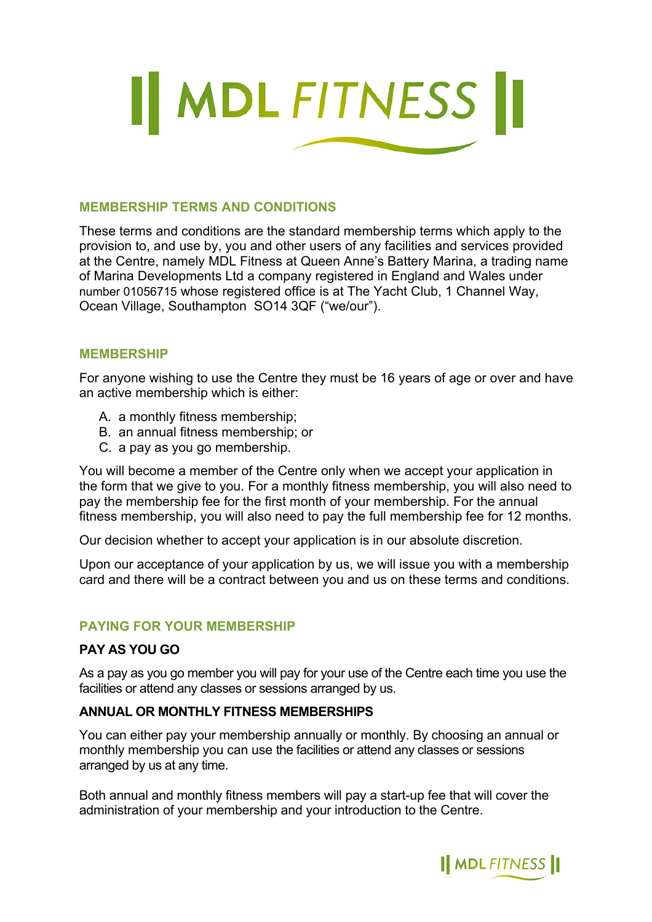

## **MEMBERSHIP TERMS AND CONDITIONS**

These terms and conditions are the standard membership terms which apply to the provision to, and use by, you and other users of any facilities and services provided at the Centre, namely MDL Fitness at Queen Anne's Battery Marina, a trading name of Marina Developments Ltd a company registered in England and Wales under number 01056715 whose registered office is at The Yacht Club, 1 Channel Way, Ocean Village, Southampton SO14 3QF ("we/our").

### **MEMBERSHIP**

For anyone wishing to use the Centre they must be 16 years of age or over and have an active membership which is either:

- A. a monthly fitness membership;
- B. an annual fitness membership; or
- C. a pay as you go membership.

You will become a member of the Centre only when we accept your application in the form that we give to you. For a monthly fitness membership, you will also need to pay the membership fee for the first month of your membership. For the annual fitness membership, you will also need to pay the full membership fee for 12 months.

Our decision whether to accept your application is in our absolute discretion.

Upon our acceptance of your application by us, we will issue you with a membership card and there will be a contract between you and us on these terms and conditions.

## **PAYING FOR YOUR MEMBERSHIP**

## **PAY AS YOU GO**

As a pay as you go member you will pay for your use of the Centre each time you use the facilities or attend any classes or sessions arranged by us.

## **ANNUAL OR MONTHLY FITNESS MEMBERSHIPS**

You can either pay your membership annually or monthly. By choosing an annual or monthly membership you can use the facilities or attend any classes or sessions arranged by us at any time.

Both annual and monthly fitness members will pay a start-up fee that will cover the administration of your membership and your introduction to the Centre.

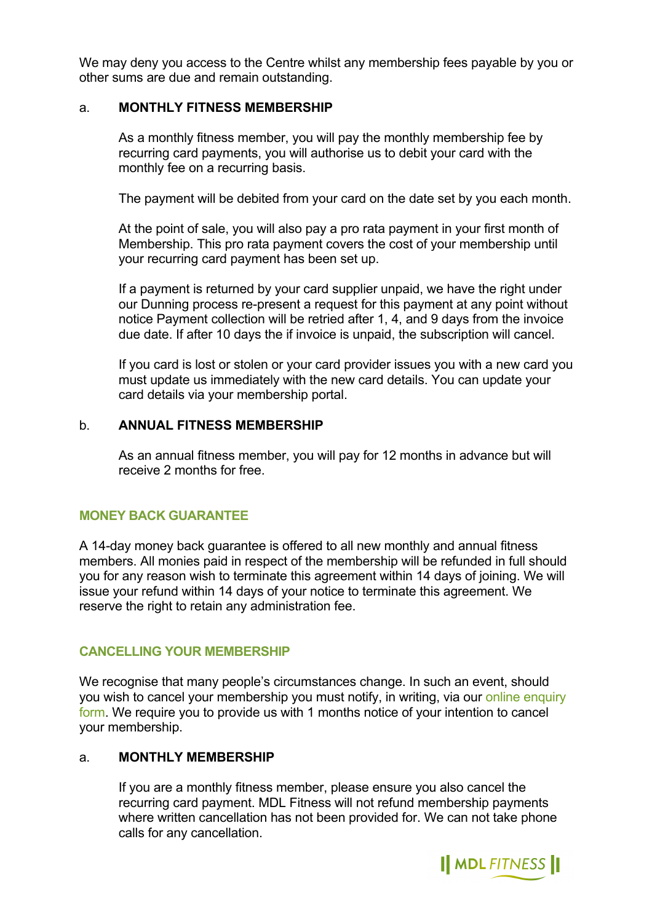We may deny you access to the Centre whilst any membership fees payable by you or other sums are due and remain outstanding.

### a. **MONTHLY FITNESS MEMBERSHIP**

As a monthly fitness member, you will pay the monthly membership fee by recurring card payments, you will authorise us to debit your card with the monthly fee on a recurring basis.

The payment will be debited from your card on the date set by you each month.

At the point of sale, you will also pay a pro rata payment in your first month of Membership. This pro rata payment covers the cost of your membership until your recurring card payment has been set up.

If a payment is returned by your card supplier unpaid, we have the right under our Dunning process re-present a request for this payment at any point without notice Payment collection will be retried after 1, 4, and 9 days from the invoice due date. If after 10 days the if invoice is unpaid, the subscription will cancel.

If you card is lost or stolen or your card provider issues you with a new card you must update us immediately with the new card details. You can update your card details via your membership portal.

### b. **ANNUAL FITNESS MEMBERSHIP**

As an annual fitness member, you will pay for 12 months in advance but will receive 2 months for free.

## **MONEY BACK GUARANTEE**

A 14-day money back guarantee is offered to all new monthly and annual fitness members. All monies paid in respect of the membership will be refunded in full should you for any reason wish to terminate this agreement within 14 days of joining. We will issue your refund within 14 days of your notice to terminate this agreement. We reserve the right to retain any administration fee.

## **CANCELLING YOUR MEMBERSHIP**

We recognise that many people's circumstances change. In such an event, should you wish to cancel your membership you must notify, in writing, via our [online enquiry](https://www.mdlmarinas.co.uk/contact/?question_197=5837&question_196=6457)  [form.](https://www.mdlmarinas.co.uk/contact/?question_197=5837&question_196=6457) We require you to provide us with 1 months notice of your intention to cancel your membership.

### a. **MONTHLY MEMBERSHIP**

If you are a monthly fitness member, please ensure you also cancel the recurring card payment. MDL Fitness will not refund membership payments where written cancellation has not been provided for. We can not take phone calls for any cancellation.

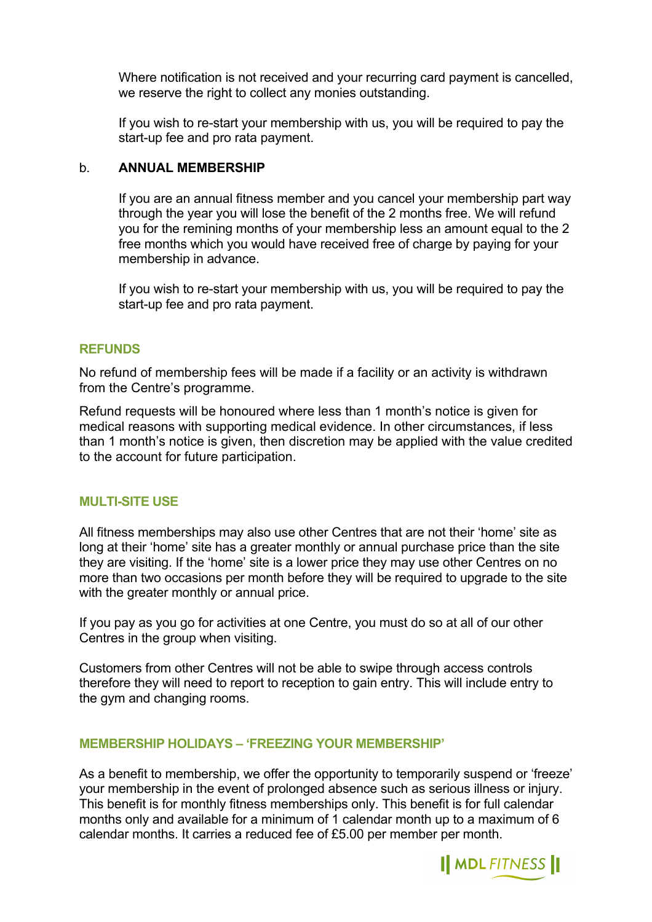Where notification is not received and your recurring card payment is cancelled, we reserve the right to collect any monies outstanding.

If you wish to re-start your membership with us, you will be required to pay the start-up fee and pro rata payment.

### b. **ANNUAL MEMBERSHIP**

If you are an annual fitness member and you cancel your membership part way through the year you will lose the benefit of the 2 months free. We will refund you for the remining months of your membership less an amount equal to the 2 free months which you would have received free of charge by paying for your membership in advance.

If you wish to re-start your membership with us, you will be required to pay the start-up fee and pro rata payment.

### **REFUNDS**

No refund of membership fees will be made if a facility or an activity is withdrawn from the Centre's programme.

Refund requests will be honoured where less than 1 month's notice is given for medical reasons with supporting medical evidence. In other circumstances, if less than 1 month's notice is given, then discretion may be applied with the value credited to the account for future participation.

### **MULTI-SITE USE**

All fitness memberships may also use other Centres that are not their 'home' site as long at their 'home' site has a greater monthly or annual purchase price than the site they are visiting. If the 'home' site is a lower price they may use other Centres on no more than two occasions per month before they will be required to upgrade to the site with the greater monthly or annual price.

If you pay as you go for activities at one Centre, you must do so at all of our other Centres in the group when visiting.

Customers from other Centres will not be able to swipe through access controls therefore they will need to report to reception to gain entry. This will include entry to the gym and changing rooms.

### **MEMBERSHIP HOLIDAYS – 'FREEZING YOUR MEMBERSHIP'**

As a benefit to membership, we offer the opportunity to temporarily suspend or 'freeze' your membership in the event of prolonged absence such as serious illness or injury. This benefit is for monthly fitness memberships only. This benefit is for full calendar months only and available for a minimum of 1 calendar month up to a maximum of 6 calendar months. It carries a reduced fee of £5.00 per member per month.

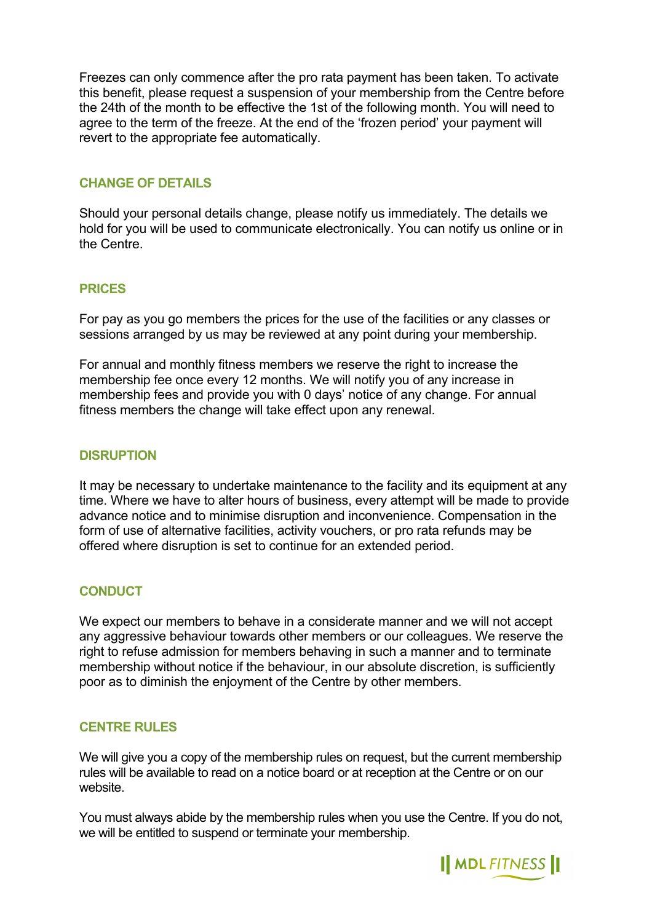Freezes can only commence after the pro rata payment has been taken. To activate this benefit, please request a suspension of your membership from the Centre before the 24th of the month to be effective the 1st of the following month. You will need to agree to the term of the freeze. At the end of the 'frozen period' your payment will revert to the appropriate fee automatically.

# **CHANGE OF DETAILS**

Should your personal details change, please notify us immediately. The details we hold for you will be used to communicate electronically. You can notify us online or in the Centre.

# **PRICES**

For pay as you go members the prices for the use of the facilities or any classes or sessions arranged by us may be reviewed at any point during your membership.

For annual and monthly fitness members we reserve the right to increase the membership fee once every 12 months. We will notify you of any increase in membership fees and provide you with 0 days' notice of any change. For annual fitness members the change will take effect upon any renewal.

### **DISRUPTION**

It may be necessary to undertake maintenance to the facility and its equipment at any time. Where we have to alter hours of business, every attempt will be made to provide advance notice and to minimise disruption and inconvenience. Compensation in the form of use of alternative facilities, activity vouchers, or pro rata refunds may be offered where disruption is set to continue for an extended period.

## **CONDUCT**

We expect our members to behave in a considerate manner and we will not accept any aggressive behaviour towards other members or our colleagues. We reserve the right to refuse admission for members behaving in such a manner and to terminate membership without notice if the behaviour, in our absolute discretion, is sufficiently poor as to diminish the enjoyment of the Centre by other members.

## **CENTRE RULES**

We will give you a copy of the membership rules on request, but the current membership rules will be available to read on a notice board or at reception at the Centre or on our website.

You must always abide by the membership rules when you use the Centre. If you do not, we will be entitled to suspend or terminate your membership.

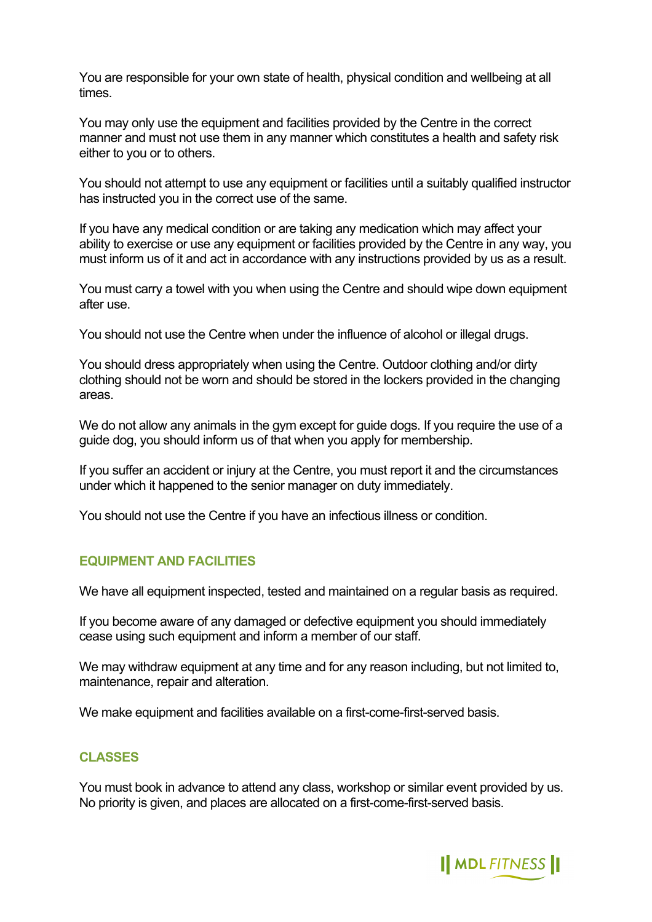You are responsible for your own state of health, physical condition and wellbeing at all times.

You may only use the equipment and facilities provided by the Centre in the correct manner and must not use them in any manner which constitutes a health and safety risk either to you or to others.

You should not attempt to use any equipment or facilities until a suitably qualified instructor has instructed you in the correct use of the same.

If you have any medical condition or are taking any medication which may affect your ability to exercise or use any equipment or facilities provided by the Centre in any way, you must inform us of it and act in accordance with any instructions provided by us as a result.

You must carry a towel with you when using the Centre and should wipe down equipment after use.

You should not use the Centre when under the influence of alcohol or illegal drugs.

You should dress appropriately when using the Centre. Outdoor clothing and/or dirty clothing should not be worn and should be stored in the lockers provided in the changing areas.

We do not allow any animals in the gym except for guide dogs. If you require the use of a guide dog, you should inform us of that when you apply for membership.

If you suffer an accident or injury at the Centre, you must report it and the circumstances under which it happened to the senior manager on duty immediately.

You should not use the Centre if you have an infectious illness or condition.

### **EQUIPMENT AND FACILITIES**

We have all equipment inspected, tested and maintained on a regular basis as required.

If you become aware of any damaged or defective equipment you should immediately cease using such equipment and inform a member of our staff.

We may withdraw equipment at any time and for any reason including, but not limited to, maintenance, repair and alteration.

We make equipment and facilities available on a first-come-first-served basis.

### **CLASSES**

You must book in advance to attend any class, workshop or similar event provided by us. No priority is given, and places are allocated on a first-come-first-served basis.

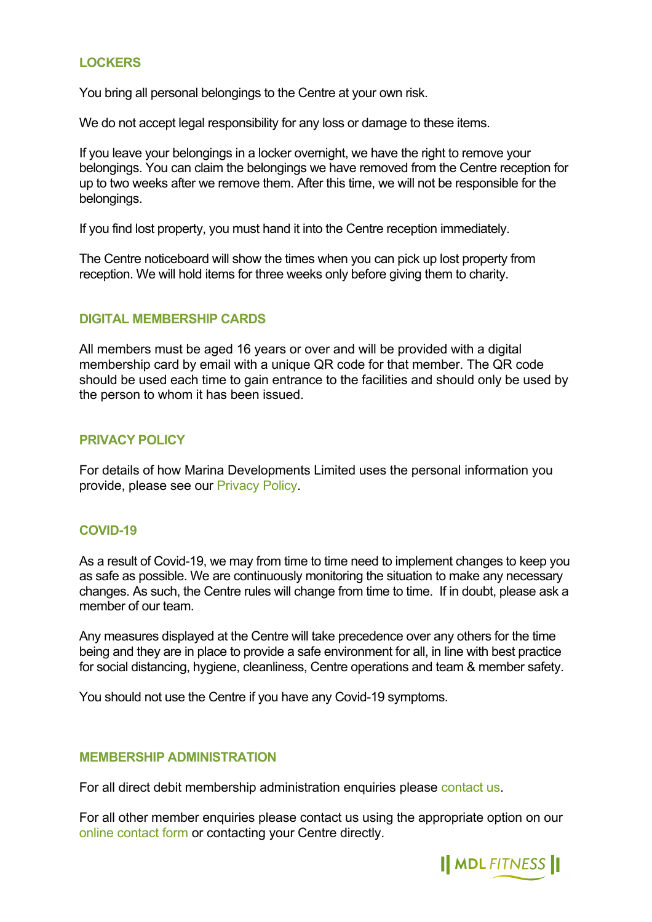## **LOCKERS**

You bring all personal belongings to the Centre at your own risk.

We do not accept legal responsibility for any loss or damage to these items.

If you leave your belongings in a locker overnight, we have the right to remove your belongings. You can claim the belongings we have removed from the Centre reception for up to two weeks after we remove them. After this time, we will not be responsible for the belongings.

If you find lost property, you must hand it into the Centre reception immediately.

The Centre noticeboard will show the times when you can pick up lost property from reception. We will hold items for three weeks only before giving them to charity.

## **DIGITAL MEMBERSHIP CARDS**

All members must be aged 16 years or over and will be provided with a digital membership card by email with a unique QR code for that member. The QR code should be used each time to gain entrance to the facilities and should only be used by the person to whom it has been issued.

### **PRIVACY POLICY**

For details of how Marina Developments Limited uses the personal information you provide, please see our [Privacy Policy.](https://www.mdlmarinas.co.uk/_assets/mdl-privacy-policy.pdf)

### **COVID-19**

As a result of Covid-19, we may from time to time need to implement changes to keep you as safe as possible. We are continuously monitoring the situation to make any necessary changes. As such, the Centre rules will change from time to time. If in doubt, please ask a member of our team.

Any measures displayed at the Centre will take precedence over any others for the time being and they are in place to provide a safe environment for all, in line with best practice for social distancing, hygiene, cleanliness, Centre operations and team & member safety.

You should not use the Centre if you have any Covid-19 symptoms.

### **MEMBERSHIP ADMINISTRATION**

For all direct debit membership administration enquiries please [contact us](https://www.mdlmarinas.co.uk/contact/?question_197=5837&question_196=6457).

For all other member enquiries please contact us using the appropriate option on our [online contact form o](https://www.mdlmarinas.co.uk/contact/?question_197=5837&question_196=6457)r contacting your Centre directly.